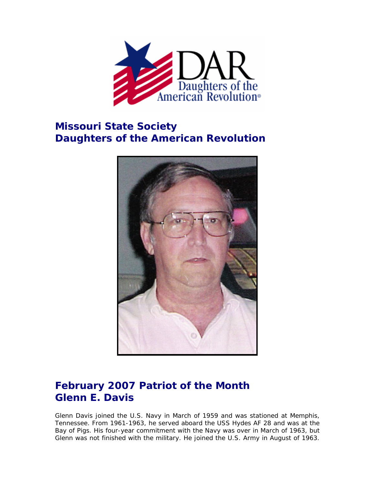

## **Missouri State Society Daughters of the American Revolution**



## **February 2007 Patriot of the Month Glenn E. Davis**

Glenn Davis joined the U.S. Navy in March of 1959 and was stationed at Memphis, Tennessee. From 1961-1963, he served aboard the USS Hydes AF 28 and was at the Bay of Pigs. His four-year commitment with the Navy was over in March of 1963, but Glenn was not finished with the military. He joined the U.S. Army in August of 1963.